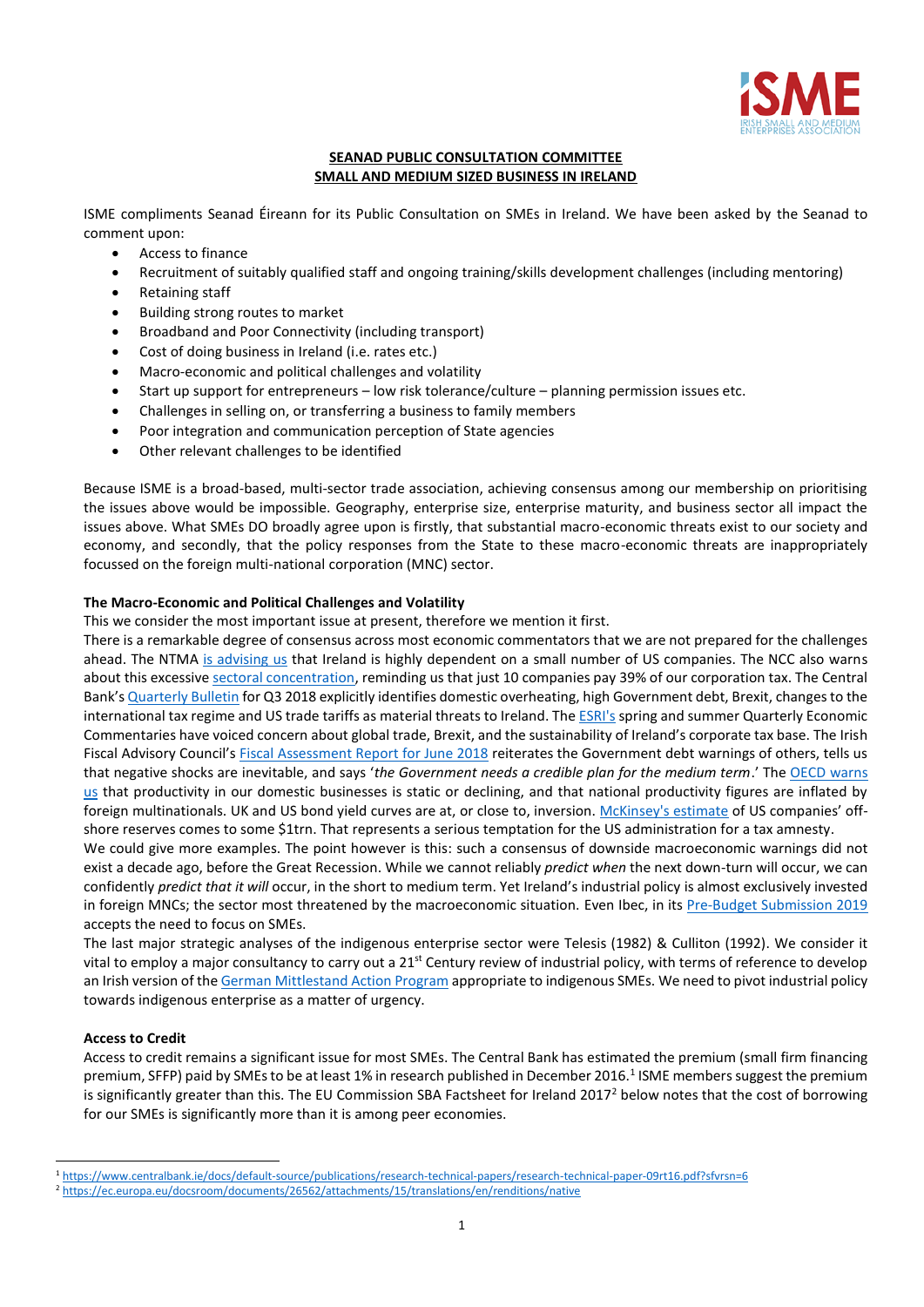

# **SEANAD PUBLIC CONSULTATION COMMITTEE SMALL AND MEDIUM SIZED BUSINESS IN IRELAND**

ISME compliments Seanad Éireann for its Public Consultation on SMEs in Ireland. We have been asked by the Seanad to comment upon:

- Access to finance
- Recruitment of suitably qualified staff and ongoing training/skills development challenges (including mentoring)
- Retaining staff
- Building strong routes to market
- Broadband and Poor Connectivity (including transport)
- Cost of doing business in Ireland (i.e. rates etc.)
- Macro-economic and political challenges and volatility
- Start up support for entrepreneurs low risk tolerance/culture planning permission issues etc.
- Challenges in selling on, or transferring a business to family members
- Poor integration and communication perception of State agencies
- Other relevant challenges to be identified

Because ISME is a broad-based, multi-sector trade association, achieving consensus among our membership on prioritising the issues above would be impossible. Geography, enterprise size, enterprise maturity, and business sector all impact the issues above. What SMEs DO broadly agree upon is firstly, that substantial macro-economic threats exist to our society and economy, and secondly, that the policy responses from the State to these macro-economic threats are inappropriately focussed on the foreign multi-national corporation (MNC) sector.

# **The Macro-Economic and Political Challenges and Volatility**

This we consider the most important issue at present, therefore we mention it first.

There is a remarkable degree of consensus across most economic commentators that we are not prepared for the challenges ahead. The NTMA [is advising us](http://www.ntma.ie/download/publications/Impacts-of-the-US-economy-on-Ireland-August-2018.pdf) that Ireland is highly dependent on a small number of US companies. The NCC also warns about this excessive [sectoral concentration,](http://www.competitiveness.ie/Publications/2018/Economic-Concentration-2018.html) reminding us that just 10 companies pay 39% of our corporation tax. The Central Bank's [Quarterly Bulletin](https://www.centralbank.ie/docs/default-source/publications/quarterly-bulletins/qb-archive/2018/quarterly-bulletin---q3-2018.pdf?sfvrsn=10) for Q3 2018 explicitly identifies domestic overheating, high Government debt, Brexit, changes to the international tax regime and US trade tariffs as material threats to Ireland. Th[e ESRI's](https://www.esri.ie/publications/) spring and summer Quarterly Economic Commentaries have voiced concern about global trade, Brexit, and the sustainability of Ireland's corporate tax base. The Irish Fiscal Advisory Council's [Fiscal Assessment Report for June 2018](https://www.fiscalcouncil.ie/fiscal-assessment-reports/fiscal-assessment-report-june-2018/) reiterates the Government debt warnings of others, tells us that negative shocks are inevitable, and says '*the Government needs a credible plan for the medium term*.' The [OECD warns](https://www.finance.gov.ie/wp-content/uploads/2018/03/OECD-survey.pdf)  [us](https://www.finance.gov.ie/wp-content/uploads/2018/03/OECD-survey.pdf) that productivity in our domestic businesses is static or declining, and that national productivity figures are inflated by foreign multinationals. UK and US bond yield curves are at, or close to, inversion. [McKinsey's estimate](https://www.mckinsey.com/business-functions/strategy-and-corporate-finance/our-insights/the-real-story-behind-us-companies-off-shore-cash-reserves) of US companies' offshore reserves comes to some \$1trn. That represents a serious temptation for the US administration for a tax amnesty.

We could give more examples. The point however is this: such a consensus of downside macroeconomic warnings did not exist a decade ago, before the Great Recession. While we cannot reliably *predict when* the next down-turn will occur, we can confidently *predict that it will* occur, in the short to medium term. Yet Ireland's industrial policy is almost exclusively invested in foreign MNCs; the sector most threatened by the macroeconomic situation. Even Ibec, in it[s Pre-Budget Submission 2019](https://www.isme.ie/assets/ISME-Pre-Budget-Submission-2019-update.pdf) accepts the need to focus on SMEs.

The last major strategic analyses of the indigenous enterprise sector were Telesis (1982) & Culliton (1992). We consider it vital to employ a major consultancy to carry out a  $21^{st}$  Century review of industrial policy, with terms of reference to develop an Irish version of th[e German Mittlestand Action Program](https://www.bmwi.de/Redaktion/EN/Publikationen/aktionsprogramm-zukunft-mittelstand.pdf?__blob=publicationFile&v=6) appropriate to indigenous SMEs. We need to pivot industrial policy towards indigenous enterprise as a matter of urgency.

# **Access to Credit**

 $\overline{a}$ 

Access to credit remains a significant issue for most SMEs. The Central Bank has estimated the premium (small firm financing premium, SFFP) paid by SMEs to be at least 1% in research published in December 2016.<sup>1</sup> ISME members suggest the premium is significantly greater than this. The EU Commission SBA Factsheet for Ireland 2017<sup>2</sup> below notes that the cost of borrowing for our SMEs is significantly more than it is among peer economies.

<sup>1</sup> <https://www.centralbank.ie/docs/default-source/publications/research-technical-papers/research-technical-paper-09rt16.pdf?sfvrsn=6>

<sup>2</sup> <https://ec.europa.eu/docsroom/documents/26562/attachments/15/translations/en/renditions/native>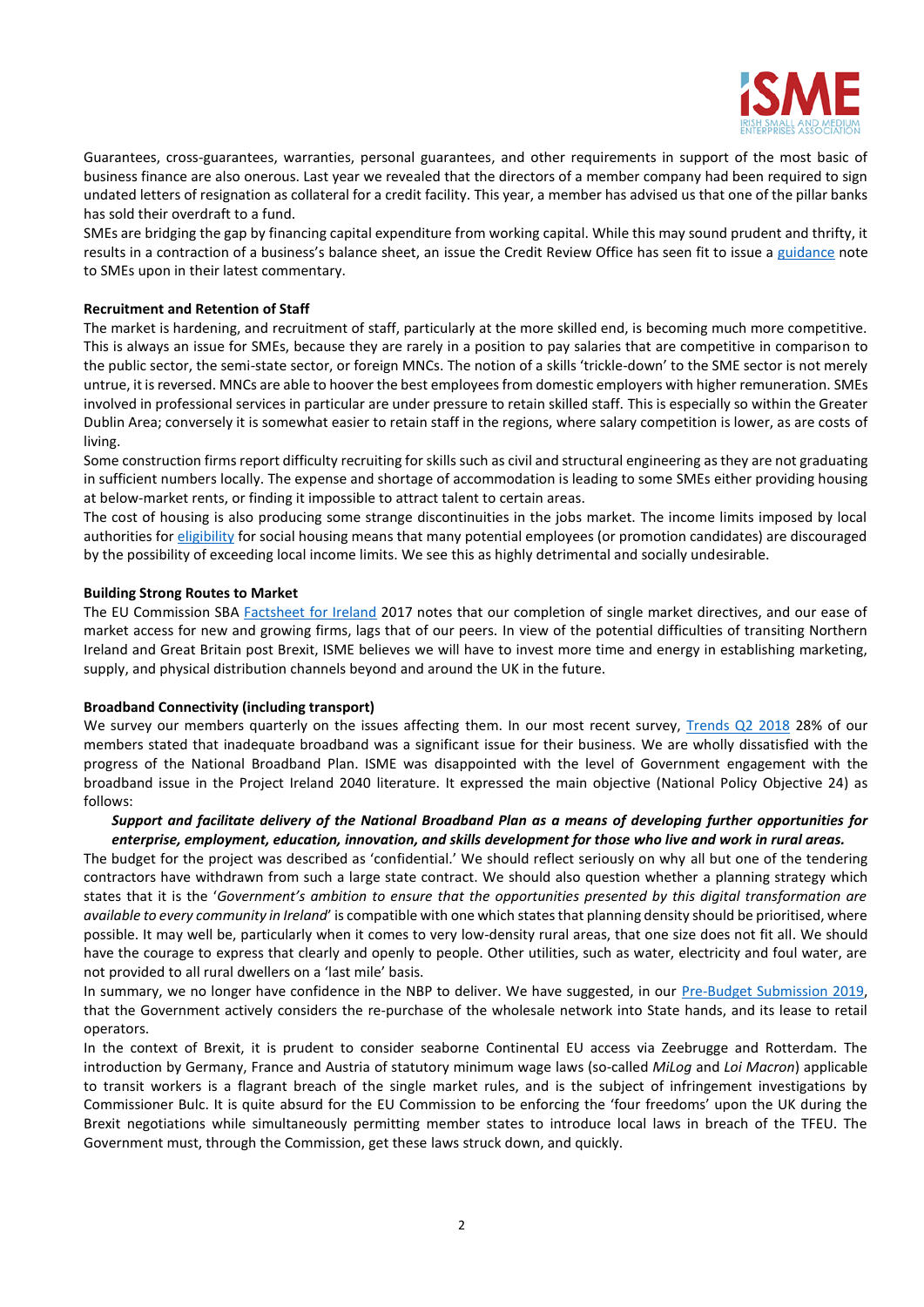

Guarantees, cross-guarantees, warranties, personal guarantees, and other requirements in support of the most basic of business finance are also onerous. Last year we revealed that the directors of a member company had been required to sign undated letters of resignation as collateral for a credit facility. This year, a member has advised us that one of the pillar banks has sold their overdraft to a fund.

SMEs are bridging the gap by financing capital expenditure from working capital. While this may sound prudent and thrifty, it results in a contraction of a business's balance sheet, an issue the Credit Review Office has seen fit to issue a [guidance](http://www.creditreview.ie/wp-content/uploads/2018/02/Credit-Review-Office-provides-some-information-for-SMEs-which-are-considering-funding-a-Capital-Project.pdf) note to SMEs upon in their latest commentary.

# **Recruitment and Retention of Staff**

The market is hardening, and recruitment of staff, particularly at the more skilled end, is becoming much more competitive. This is always an issue for SMEs, because they are rarely in a position to pay salaries that are competitive in comparison to the public sector, the semi-state sector, or foreign MNCs. The notion of a skills 'trickle-down' to the SME sector is not merely untrue, it is reversed. MNCs are able to hoover the best employees from domestic employers with higher remuneration. SMEs involved in professional services in particular are under pressure to retain skilled staff. This is especially so within the Greater Dublin Area; conversely it is somewhat easier to retain staff in the regions, where salary competition is lower, as are costs of living.

Some construction firms report difficulty recruiting for skills such as civil and structural engineering as they are not graduating in sufficient numbers locally. The expense and shortage of accommodation is leading to some SMEs either providing housing at below-market rents, or finding it impossible to attract talent to certain areas.

The cost of housing is also producing some strange discontinuities in the jobs market. The income limits imposed by local authorities fo[r eligibility](http://www.housing.gov.ie/sites/default/files/migrated-files/en/Publications/DevelopmentandHousing/Housing/table_with_2016_income_limits.pdf) for social housing means that many potential employees (or promotion candidates) are discouraged by the possibility of exceeding local income limits. We see this as highly detrimental and socially undesirable.

## **Building Strong Routes to Market**

The EU Commission SBA [Factsheet for Ireland](https://ec.europa.eu/docsroom/documents/29489/attachments/15/translations/en/renditions/native) 2017 notes that our completion of single market directives, and our ease of market access for new and growing firms, lags that of our peers. In view of the potential difficulties of transiting Northern Ireland and Great Britain post Brexit, ISME believes we will have to invest more time and energy in establishing marketing, supply, and physical distribution channels beyond and around the UK in the future.

### **Broadband Connectivity (including transport)**

We survey our members quarterly on the issues affecting them. In our most recent survey, [Trends Q2 2018](https://isme.ie/report/q2-2018-trends/) 28% of our members stated that inadequate broadband was a significant issue for their business. We are wholly dissatisfied with the progress of the National Broadband Plan. ISME was disappointed with the level of Government engagement with the broadband issue in the Project Ireland 2040 literature. It expressed the main objective (National Policy Objective 24) as follows:

# *Support and facilitate delivery of the National Broadband Plan as a means of developing further opportunities for enterprise, employment, education, innovation, and skills development for those who live and work in rural areas.*

The budget for the project was described as 'confidential.' We should reflect seriously on why all but one of the tendering contractors have withdrawn from such a large state contract. We should also question whether a planning strategy which states that it is the '*Government's ambition to ensure that the opportunities presented by this digital transformation are available to every community in Ireland*' is compatible with one which states that planning density should be prioritised, where possible. It may well be, particularly when it comes to very low-density rural areas, that one size does not fit all. We should have the courage to express that clearly and openly to people. Other utilities, such as water, electricity and foul water, are not provided to all rural dwellers on a 'last mile' basis.

In summary, we no longer have confidence in the NBP to deliver. We have suggested, in our [Pre-Budget Submission 2019,](https://www.isme.ie/assets/ISME-Pre-Budget-Submission-2019-update.pdf) that the Government actively considers the re-purchase of the wholesale network into State hands, and its lease to retail operators.

In the context of Brexit, it is prudent to consider seaborne Continental EU access via Zeebrugge and Rotterdam. The introduction by Germany, France and Austria of statutory minimum wage laws (so-called *MiLog* and *Loi Macron*) applicable to transit workers is a flagrant breach of the single market rules, and is the subject of infringement investigations by Commissioner Bulc. It is quite absurd for the EU Commission to be enforcing the 'four freedoms' upon the UK during the Brexit negotiations while simultaneously permitting member states to introduce local laws in breach of the TFEU. The Government must, through the Commission, get these laws struck down, and quickly.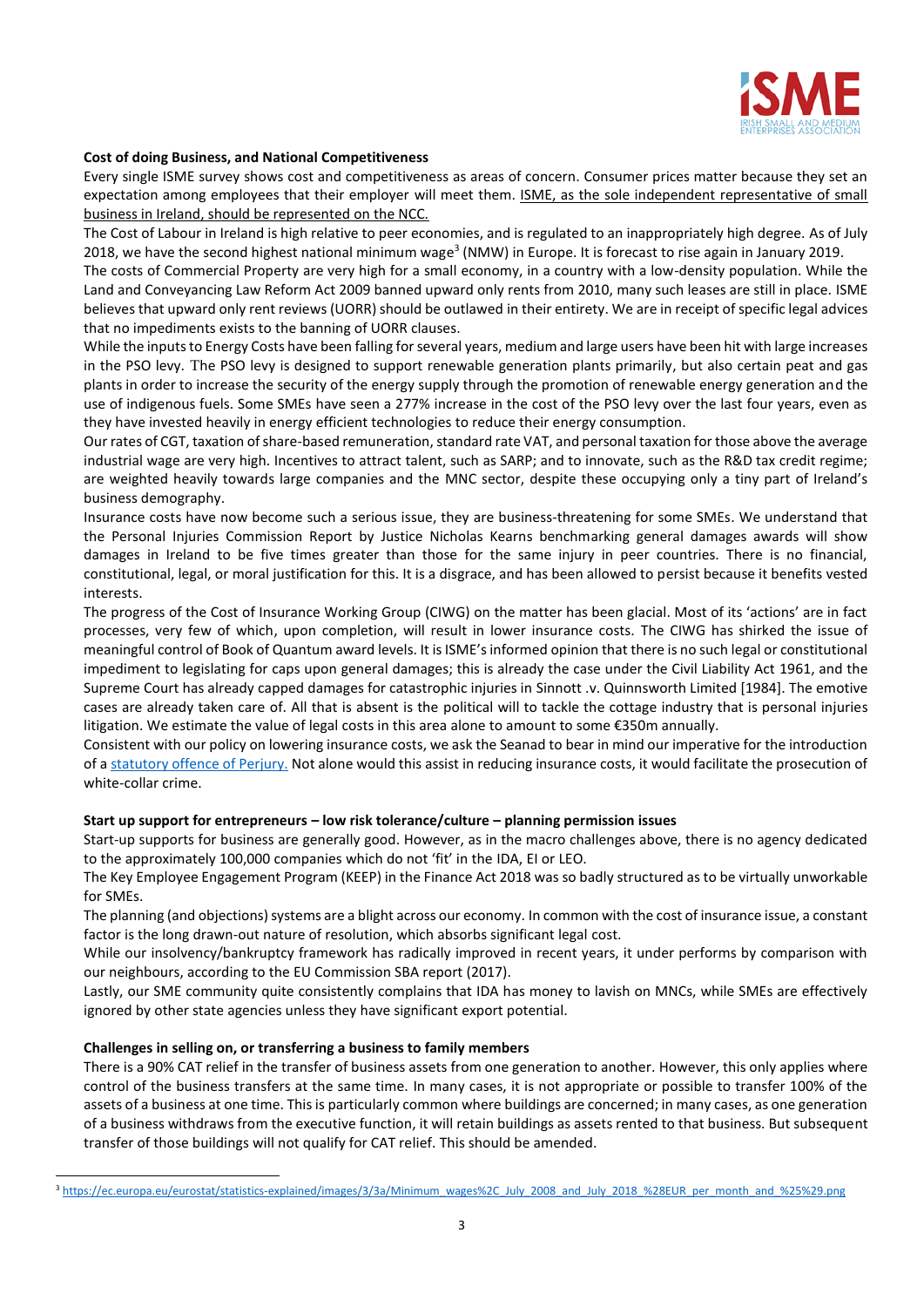

# **Cost of doing Business, and National Competitiveness**

Every single ISME survey shows cost and competitiveness as areas of concern. Consumer prices matter because they set an expectation among employees that their employer will meet them. ISME, as the sole independent representative of small business in Ireland, should be represented on the NCC.

The Cost of Labour in Ireland is high relative to peer economies, and is regulated to an inappropriately high degree. As of July 2018, we have the second highest national minimum wage<sup>3</sup> (NMW) in Europe. It is forecast to rise again in January 2019.

The costs of Commercial Property are very high for a small economy, in a country with a low-density population. While the Land and Conveyancing Law Reform Act 2009 banned upward only rents from 2010, many such leases are still in place. ISME believes that upward only rent reviews (UORR) should be outlawed in their entirety. We are in receipt of specific legal advices that no impediments exists to the banning of UORR clauses.

While the inputs to Energy Costs have been falling for several years, medium and large users have been hit with large increases in the PSO levy. The PSO levy is designed to support renewable generation plants primarily, but also certain peat and gas plants in order to increase the security of the energy supply through the promotion of renewable energy generation and the use of indigenous fuels. Some SMEs have seen a 277% increase in the cost of the PSO levy over the last four years, even as they have invested heavily in energy efficient technologies to reduce their energy consumption.

Our rates of CGT, taxation of share-based remuneration, standard rate VAT, and personal taxation for those above the average industrial wage are very high. Incentives to attract talent, such as SARP; and to innovate, such as the R&D tax credit regime; are weighted heavily towards large companies and the MNC sector, despite these occupying only a tiny part of Ireland's business demography.

Insurance costs have now become such a serious issue, they are business-threatening for some SMEs. We understand that the Personal Injuries Commission Report by Justice Nicholas Kearns benchmarking general damages awards will show damages in Ireland to be five times greater than those for the same injury in peer countries. There is no financial, constitutional, legal, or moral justification for this. It is a disgrace, and has been allowed to persist because it benefits vested interests.

The progress of the Cost of Insurance Working Group (CIWG) on the matter has been glacial. Most of its 'actions' are in fact processes, very few of which, upon completion, will result in lower insurance costs. The CIWG has shirked the issue of meaningful control of Book of Quantum award levels. It is ISME's informed opinion that there is no such legal or constitutional impediment to legislating for caps upon general damages; this is already the case under the Civil Liability Act 1961, and the Supreme Court has already capped damages for catastrophic injuries in Sinnott .v. Quinnsworth Limited [1984]. The emotive cases are already taken care of. All that is absent is the political will to tackle the cottage industry that is personal injuries litigation. We estimate the value of legal costs in this area alone to amount to some €350m annually.

Consistent with our policy on lowering insurance costs, we ask the Seanad to bear in mind our imperative for the introduction of [a statutory offence of Perjury.](https://isme.ie/wp-content/uploads/2017/06/The-Case-for-a-Perjury-Act.pdf) Not alone would this assist in reducing insurance costs, it would facilitate the prosecution of white-collar crime.

### **Start up support for entrepreneurs – low risk tolerance/culture – planning permission issues**

Start-up supports for business are generally good. However, as in the macro challenges above, there is no agency dedicated to the approximately 100,000 companies which do not 'fit' in the IDA, EI or LEO.

The Key Employee Engagement Program (KEEP) in the Finance Act 2018 was so badly structured as to be virtually unworkable for SMEs.

The planning (and objections) systems are a blight across our economy. In common with the cost of insurance issue, a constant factor is the long drawn-out nature of resolution, which absorbs significant legal cost.

While our insolvency/bankruptcy framework has radically improved in recent years, it under performs by comparison with our neighbours, according to the EU Commission SBA report (2017).

Lastly, our SME community quite consistently complains that IDA has money to lavish on MNCs, while SMEs are effectively ignored by other state agencies unless they have significant export potential.

## **Challenges in selling on, or transferring a business to family members**

 $\overline{a}$ 

There is a 90% CAT relief in the transfer of business assets from one generation to another. However, this only applies where control of the business transfers at the same time. In many cases, it is not appropriate or possible to transfer 100% of the assets of a business at one time. This is particularly common where buildings are concerned; in many cases, as one generation of a business withdraws from the executive function, it will retain buildings as assets rented to that business. But subsequent transfer of those buildings will not qualify for CAT relief. This should be amended.

<sup>&</sup>lt;sup>3</sup> [https://ec.europa.eu/eurostat/statistics-explained/images/3/3a/Minimum\\_wages%2C\\_July\\_2008\\_and\\_July\\_2018\\_%28EUR\\_per\\_month\\_and\\_%25%29.png](https://ec.europa.eu/eurostat/statistics-explained/images/3/3a/Minimum_wages%2C_July_2008_and_July_2018_%28EUR_per_month_and_%25%29.png)